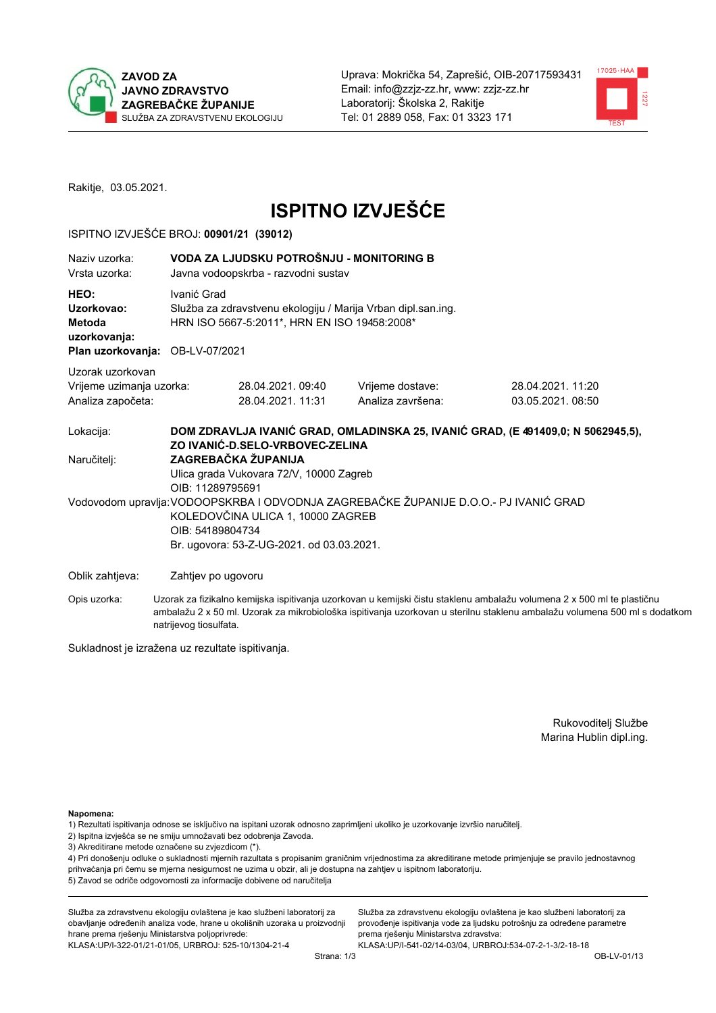

Uprava: Mokrička 54, Zaprešić, OIB-20717593431 Email: info@zzjz-zz.hr, www: zzjz-zz.hr Laboratorij: Školska 2, Rakitje Tel: 01 2889 058. Fax: 01 3323 171



Rakitje, 03.05.2021.

# **ISPITNO IZVJEŠĆE**

#### ISPITNO IZVJEŠĆE BROJ: 00901/21 (39012)

| Naziv uzorka:<br>Vrsta uzorka:                                                  | VODA ZA LJUDSKU POTROŠNJU - MONITORING B<br>Javna vodoopskrba - razvodni sustav |                                                                                                                                                                                             |                                       |                                                                                                                                                                                                                                                     |  |  |  |  |
|---------------------------------------------------------------------------------|---------------------------------------------------------------------------------|---------------------------------------------------------------------------------------------------------------------------------------------------------------------------------------------|---------------------------------------|-----------------------------------------------------------------------------------------------------------------------------------------------------------------------------------------------------------------------------------------------------|--|--|--|--|
| HEO:<br>Uzorkovao:<br>Metoda<br>uzorkovanja:<br>Plan uzorkovanja: OB-LV-07/2021 |                                                                                 | Ivanić Grad<br>Služba za zdravstvenu ekologiju / Marija Vrban dipl.san.ing.<br>HRN ISO 5667-5:2011*, HRN EN ISO 19458:2008*                                                                 |                                       |                                                                                                                                                                                                                                                     |  |  |  |  |
| Uzorak uzorkovan<br>Vrijeme uzimanja uzorka:<br>Analiza započeta:               |                                                                                 | 28.04.2021.09:40<br>28.04.2021.11:31                                                                                                                                                        | Vrijeme dostave:<br>Analiza završena: | 28.04.2021. 11:20<br>03.05.2021.08:50                                                                                                                                                                                                               |  |  |  |  |
| Lokacija:                                                                       |                                                                                 | ZO IVANIĆ-D.SELO-VRBOVEC-ZELINA                                                                                                                                                             |                                       | DOM ZDRAVLJA IVANIĆ GRAD, OMLADINSKA 25, IVANIĆ GRAD, (E 491409,0; N 5062945,5),                                                                                                                                                                    |  |  |  |  |
| Naručitelj:                                                                     |                                                                                 | ZAGREBAČKA ŽUPANIJA<br>Ulica grada Vukovara 72/V, 10000 Zagreb<br>OIB: 11289795691                                                                                                          |                                       |                                                                                                                                                                                                                                                     |  |  |  |  |
|                                                                                 |                                                                                 | Vodovodom upravlja: VODOOPSKRBA I ODVODNJA ZAGREBAČKE ŽUPANIJE D.O.O.- PJ IVANIĆ GRAD<br>KOLEDOVČINA ULICA 1, 10000 ZAGREB<br>OIB: 54189804734<br>Br. ugovora: 53-Z-UG-2021. od 03.03.2021. |                                       |                                                                                                                                                                                                                                                     |  |  |  |  |
| Oblik zahtjeva:                                                                 |                                                                                 | Zahtjev po ugovoru                                                                                                                                                                          |                                       |                                                                                                                                                                                                                                                     |  |  |  |  |
| Opis uzorka:                                                                    |                                                                                 |                                                                                                                                                                                             |                                       | Uzorak za fizikalno kemijska ispitivanja uzorkovan u kemijski čistu staklenu ambalažu volumena 2 x 500 ml te plastičnu<br>ambalažu 2 x 50 ml. Uzorak za mikrobiološka ispitivania uzorkovan u sterilnu staklenu ambalažu volumena 500 ml s dodatkom |  |  |  |  |

Sukladnost je izražena uz rezultate ispitivanja.

natrijevog tiosulfata.

Rukovoditelj Službe Marina Hublin dipl.ing.

Napomena:

- 1) Rezultati ispitivanja odnose se isključivo na ispitani uzorak odnosno zaprimljeni ukoliko je uzorkovanje izvršio naručiteli.
- 2) Ispitna izvješća se ne smiju umnožavati bez odobrenja Zavoda.
- 3) Akreditirane metode označene su zvjezdicom (\*).

4) Pri donošenju odluke o sukladnosti mjernih razultata s propisanim graničnim vrijednostima za akreditirane metode primjenjuje se pravilo jednostavnog prihvaćanja pri čemu se mjerna nesigurnost ne uzima u obzir, ali je dostupna na zahtjev u ispitnom laboratoriju. 5) Zavod se odriče odgovornosti za informacije dobivene od naručitelja

Služba za zdravstvenu ekologiju ovlaštena je kao službeni laboratorij za obavljanje određenih analiza vode, hrane u okolišnih uzoraka u proizvodnji hrane prema rješenju Ministarstva poljoprivrede: KLASA.UP/I-322-01/21-01/05, URBROJ: 525-10/1304-21-4

Služba za zdravstvenu ekologiju ovlaštena je kao službeni laboratorij za provođenje ispitivanja vode za ljudsku potrošnju za određene parametre prema rješenju Ministarstva zdravstva: KLASA:UP/I-541-02/14-03/04, URBROJ:534-07-2-1-3/2-18-18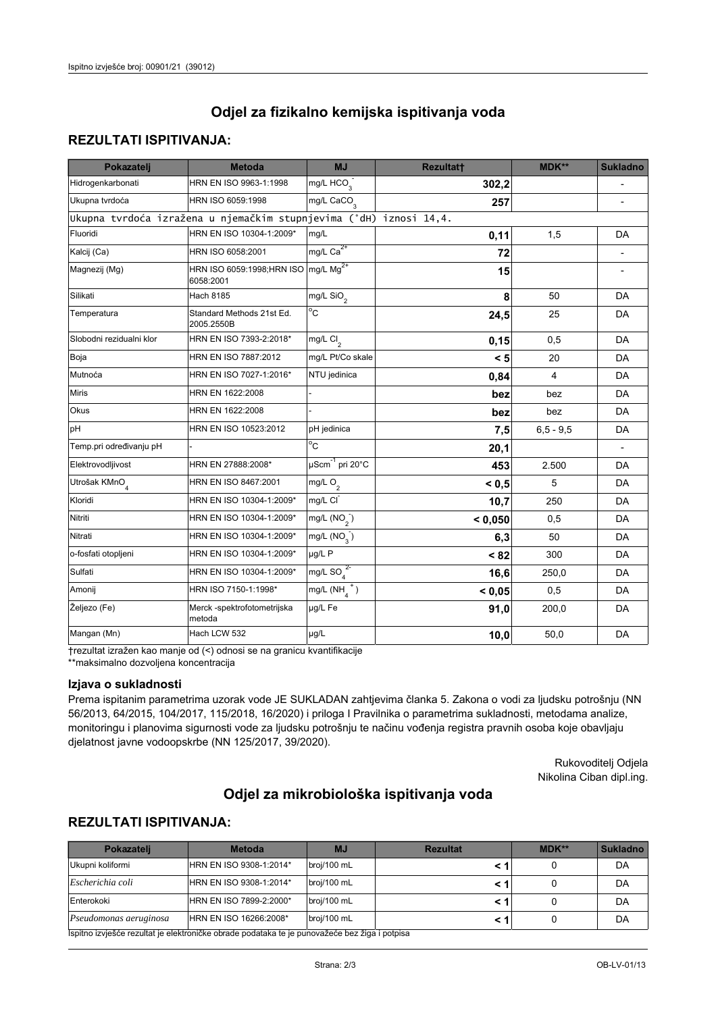## Odjel za fizikalno kemijska ispitivanja voda

## **REZULTATI ISPITIVANJA:**

| Pokazatelj                                                         | <b>Metoda</b>                                                | MJ                        | Rezultatt | <b>MDK**</b> | <b>Sukladno</b> |
|--------------------------------------------------------------------|--------------------------------------------------------------|---------------------------|-----------|--------------|-----------------|
| Hidrogenkarbonati                                                  | HRN EN ISO 9963-1:1998                                       | mg/L HCO <sub>3</sub>     | 302,2     |              |                 |
| Ukupna tvrdoća                                                     | HRN ISO 6059:1998                                            | mg/L CaCO <sub>3</sub>    | 257       |              |                 |
| Ukupna tvrdoća izražena u njemačkim stupnjevima (°dH) iznosi 14,4. |                                                              |                           |           |              |                 |
| Fluoridi                                                           | HRN EN ISO 10304-1:2009*                                     | mg/L                      | 0,11      | 1,5          | <b>DA</b>       |
| Kalcij (Ca)                                                        | HRN ISO 6058:2001                                            | mg/L $Ca2+$               | 72        |              |                 |
| Magnezij (Mg)                                                      | HRN ISO 6059:1998;HRN ISO mg/L Mg <sup>2+</sup><br>6058:2001 |                           | 15        |              |                 |
| Silikati                                                           | <b>Hach 8185</b>                                             | mg/L SiO <sub>2</sub>     | 8         | 50           | <b>DA</b>       |
| Temperatura                                                        | Standard Methods 21st Ed.<br>2005.2550B                      | $\overline{c}$            | 24,5      | 25           | DA              |
| Slobodni rezidualni klor                                           | HRN EN ISO 7393-2:2018*                                      | mg/L $Cl2$                | 0,15      | 0,5          | <b>DA</b>       |
| Boja                                                               | HRN EN ISO 7887:2012                                         | mg/L Pt/Co skale          | < 5       | 20           | <b>DA</b>       |
| Mutnoća                                                            | HRN EN ISO 7027-1:2016*                                      | NTU jedinica              | 0,84      | 4            | DA              |
| Miris                                                              | HRN EN 1622:2008                                             |                           | bez       | bez          | <b>DA</b>       |
| <b>Okus</b>                                                        | HRN EN 1622:2008                                             |                           | bez       | bez          | DA              |
| pH                                                                 | HRN EN ISO 10523:2012                                        | pH jedinica               | 7,5       | $6.5 - 9.5$  | <b>DA</b>       |
| Temp.pri određivanju pH                                            |                                                              | $^{\circ}$ C              | 20,1      |              |                 |
| Elektrovodljivost                                                  | HRN EN 27888:2008*                                           | µScm-1 pri 20°C           | 453       | 2.500        | DA              |
| Utrošak KMnO $_4$                                                  | HRN EN ISO 8467:2001                                         | mg/L $O_2$                | < 0, 5    | 5            | DA              |
| Kloridi                                                            | HRN EN ISO 10304-1:2009*                                     | mg/L CI                   | 10,7      | 250          | <b>DA</b>       |
| Nitriti                                                            | HRN EN ISO 10304-1:2009*                                     | mg/L $(NO2)$              | < 0,050   | 0,5          | <b>DA</b>       |
| Nitrati                                                            | HRN EN ISO 10304-1:2009*                                     | $mg/L$ (NO <sub>2</sub> ) | 6,3       | 50           | DA              |
| o-fosfati otopljeni                                                | HRN EN ISO 10304-1:2009*                                     | µg/L P                    | < 82      | 300          | DA              |
| Sulfati                                                            | HRN EN ISO 10304-1:2009*                                     | mg/L SO $_4^{2}$          | 16,6      | 250,0        | <b>DA</b>       |
| Amonij                                                             | HRN ISO 7150-1:1998*                                         | mg/L $(NH_4^+)$           | < 0,05    | 0,5          | DA              |
| Željezo (Fe)                                                       | Merck -spektrofotometrijska<br>metoda                        | µg/L Fe                   | 91,0      | 200,0        | DA              |
| Mangan (Mn)                                                        | Hach LCW 532                                                 | µg/L                      | 10,0      | 50,0         | DA              |

trezultat izražen kao manje od (<) odnosi se na granicu kvantifikacije \*\*maksimalno dozvoljena koncentracija

#### Izjava o sukladnosti

Prema ispitanim parametrima uzorak vode JE SUKLADAN zahtjevima članka 5. Zakona o vodi za ljudsku potrošnju (NN 56/2013, 64/2015, 104/2017, 115/2018, 16/2020) i priloga I Pravilnika o parametrima sukladnosti, metodama analize, monitoringu i planovima sigurnosti vode za ljudsku potrošnju te načinu vođenja registra pravnih osoba koje obavljaju djelatnost javne vodoopskrbe (NN 125/2017, 39/2020).

> Rukovoditelj Odjela Nikolina Ciban dipl.ing.

# Odjel za mikrobiološka ispitivanja voda

### **REZULTATI ISPITIVANJA:**

| Pokazatelj                                                                                    | <b>Metoda</b>           | MJ          | <b>Rezultat</b> | MDK** | <b>Sukladno</b> |  |
|-----------------------------------------------------------------------------------------------|-------------------------|-------------|-----------------|-------|-----------------|--|
| Ukupni koliformi                                                                              | HRN EN ISO 9308-1:2014* | broj/100 mL |                 |       | DA              |  |
| Escherichia coli                                                                              | HRN EN ISO 9308-1:2014* | broj/100 mL |                 |       | DA              |  |
| Enterokoki                                                                                    | HRN EN ISO 7899-2:2000* | broj/100 mL |                 |       | DA              |  |
| Pseudomonas aeruginosa                                                                        | HRN EN ISO 16266:2008*  | broj/100 mL |                 |       | DA              |  |
| Ispitno izvješće rezultat je elektroničke obrade podataka te je punovažeće bez žiga i potpisa |                         |             |                 |       |                 |  |